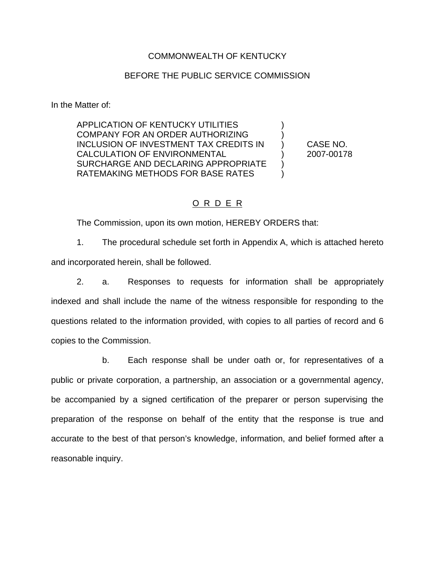### COMMONWEALTH OF KENTUCKY

#### BEFORE THE PUBLIC SERVICE COMMISSION

In the Matter of:

APPLICATION OF KENTUCKY UTILITIES COMPANY FOR AN ORDER AUTHORIZING ) INCLUSION OF INVESTMENT TAX CREDITS IN ) CASE NO. CALCULATION OF ENVIRONMENTAL (2007-00178 SURCHARGE AND DECLARING APPROPRIATE ) RATEMAKING METHODS FOR BASE RATES  $\qquad)$ 

### O R D E R

The Commission, upon its own motion, HEREBY ORDERS that:

1. The procedural schedule set forth in Appendix A, which is attached hereto and incorporated herein, shall be followed.

2. a. Responses to requests for information shall be appropriately indexed and shall include the name of the witness responsible for responding to the questions related to the information provided, with copies to all parties of record and 6 copies to the Commission.

b. Each response shall be under oath or, for representatives of a public or private corporation, a partnership, an association or a governmental agency, be accompanied by a signed certification of the preparer or person supervising the preparation of the response on behalf of the entity that the response is true and accurate to the best of that person's knowledge, information, and belief formed after a reasonable inquiry.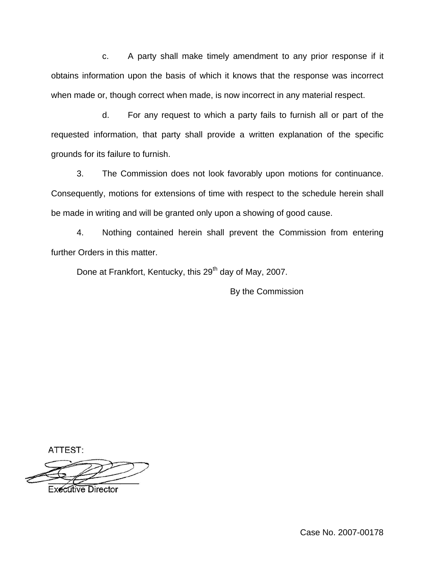c. A party shall make timely amendment to any prior response if it obtains information upon the basis of which it knows that the response was incorrect when made or, though correct when made, is now incorrect in any material respect.

d. For any request to which a party fails to furnish all or part of the requested information, that party shall provide a written explanation of the specific grounds for its failure to furnish.

3. The Commission does not look favorably upon motions for continuance. Consequently, motions for extensions of time with respect to the schedule herein shall be made in writing and will be granted only upon a showing of good cause.

4. Nothing contained herein shall prevent the Commission from entering further Orders in this matter.

Done at Frankfort, Kentucky, this 29<sup>th</sup> day of May, 2007.

By the Commission

ATTEST:

**Executive Director** 

Case No. 2007-00178